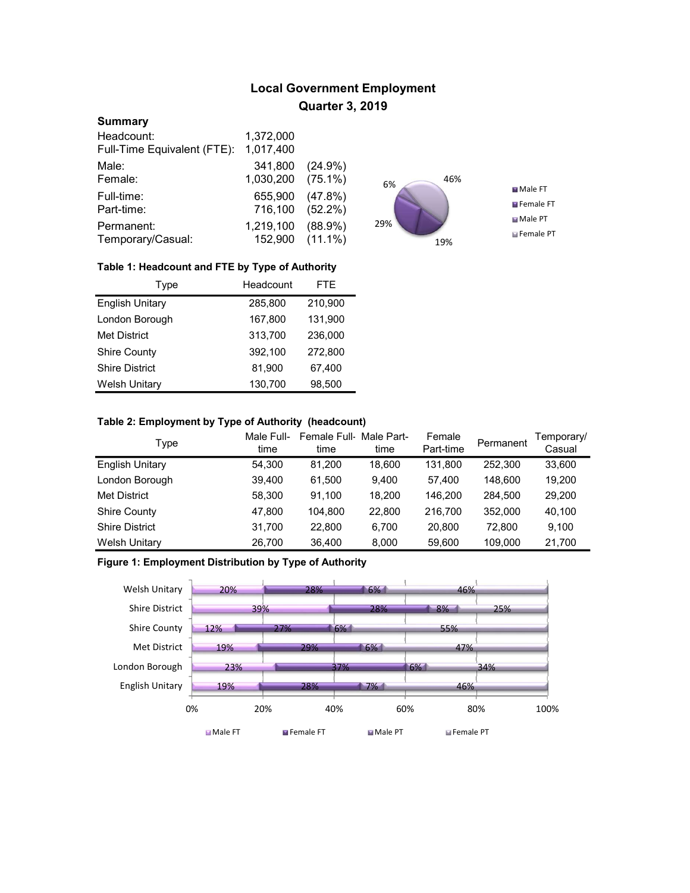# Local Government Employment Quarter 3, 2019

#### **Summary**

| Headcount:                  | 1,372,000       |            |
|-----------------------------|-----------------|------------|
| Full-Time Equivalent (FTE): | 1,017,400       |            |
| Male:                       | 341,800         | $(24.9\%)$ |
| Female:                     | 1,030,200       | $(75.1\%)$ |
| Full-time:                  | 655,900         | $(47.8\%)$ |
| Part-time:                  | 716,100         | $(52.2\%)$ |
| Permanent:                  | 1,219,100       | $(88.9\%)$ |
| Temporary/Casual:           | 152,900 (11.1%) |            |



### Table 1: Headcount and FTE by Type of Authority

| Type                   | Headcount | <b>FTE</b> |
|------------------------|-----------|------------|
| <b>English Unitary</b> | 285,800   | 210,900    |
| London Borough         | 167,800   | 131,900    |
| <b>Met District</b>    | 313.700   | 236,000    |
| <b>Shire County</b>    | 392.100   | 272,800    |
| <b>Shire District</b>  | 81.900    | 67,400     |
| <b>Welsh Unitary</b>   | 130,700   | 98,500     |

### Table 2: Employment by Type of Authority (headcount)

| Type                   | Male Full-<br>time | Female Full Male Part-<br>time | time   | Female<br>Part-time | Permanent | Temporary/<br>Casual |
|------------------------|--------------------|--------------------------------|--------|---------------------|-----------|----------------------|
| <b>English Unitary</b> | 54,300             | 81.200                         | 18,600 | 131.800             | 252,300   | 33,600               |
| London Borough         | 39,400             | 61.500                         | 9.400  | 57.400              | 148.600   | 19,200               |
| <b>Met District</b>    | 58,300             | 91.100                         | 18,200 | 146.200             | 284,500   | 29,200               |
| <b>Shire County</b>    | 47,800             | 104.800                        | 22,800 | 216.700             | 352,000   | 40,100               |
| <b>Shire District</b>  | 31,700             | 22,800                         | 6.700  | 20,800              | 72.800    | 9.100                |
| <b>Welsh Unitary</b>   | 26.700             | 36.400                         | 8,000  | 59,600              | 109,000   | 21,700               |

## Figure 1: Employment Distribution by Type of Authority